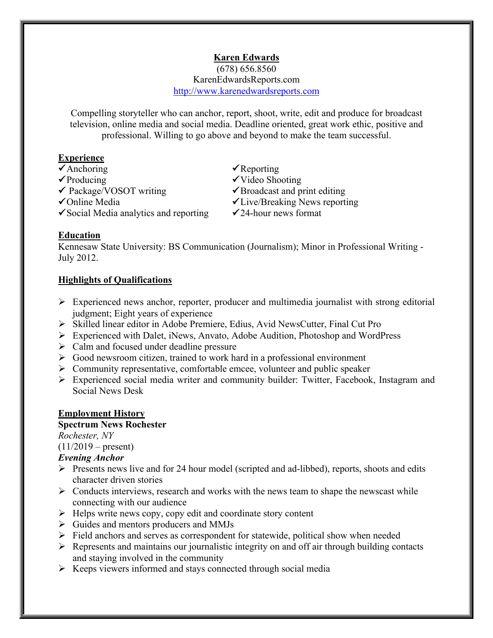# **Karen Edwards**

(678) 656.8560 KarenEdwardsReports.com http://www.karenedwardsreports.com

Compelling storyteller who can anchor, report, shoot, write, edit and produce for broadcast television, online media and social media. Deadline oriented, great work ethic, positive and professional. Willing to go above and beyond to make the team successful.

#### **Experience**

- ◆ Anchoring **◆ Reporting**
- 
- 
- 
- 
- $\checkmark$  Producing  $\checkmark$  Video Shooting
- $\checkmark$  Package/VOSOT writing  $\checkmark$  Broadcast and print editing
- ◆ Online Media → Live/Breaking News reporting
- $\checkmark$  Social Media analytics and reporting  $\checkmark$  24-hour news format

#### **Education**

Kennesaw State University: BS Communication (Journalism); Minor in Professional Writing - July 2012.

# **Highlights of Qualifications**

- $\triangleright$  Experienced news anchor, reporter, producer and multimedia journalist with strong editorial judgment; Eight years of experience
- > Skilled linear editor in Adobe Premiere, Edius, Avid NewsCutter, Final Cut Pro
- $\triangleright$  Experienced with Dalet, iNews, Anvato, Adobe Audition, Photoshop and WordPress
- $\triangleright$  Calm and focused under deadline pressure
- $\triangleright$  Good newsroom citizen, trained to work hard in a professional environment
- $\triangleright$  Community representative, comfortable emcee, volunteer and public speaker
- $\triangleright$  Experienced social media writer and community builder: Twitter, Facebook, Instagram and Social News Desk

#### **Employment History**

#### **Spectrum News Rochester**

*Rochester, NY* 

 $(11/2019 - present)$ 

#### *Evening Anchor*

- $\triangleright$  Presents news live and for 24 hour model (scripted and ad-libbed), reports, shoots and edits character driven stories
- $\triangleright$  Conducts interviews, research and works with the news team to shape the newscast while connecting with our audience
- $\triangleright$  Helps write news copy, copy edit and coordinate story content
- $\triangleright$  Guides and mentors producers and MMJs
- $\triangleright$  Field anchors and serves as correspondent for statewide, political show when needed
- $\triangleright$  Represents and maintains our journalistic integrity on and off air through building contacts and staying involved in the community
- $\triangleright$  Keeps viewers informed and stays connected through social media